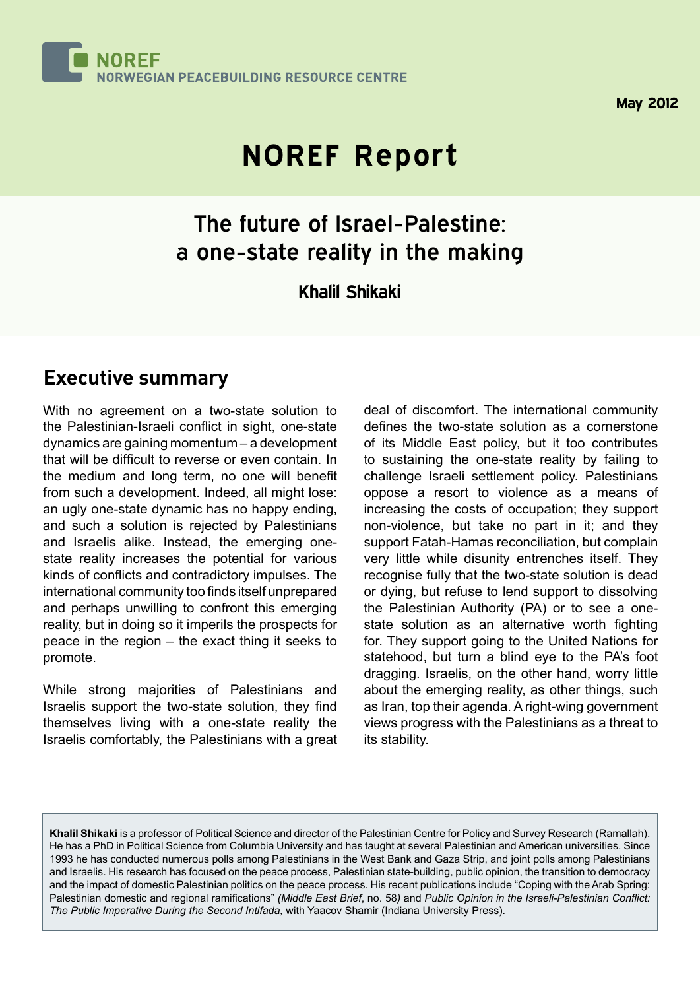

# **NOREF Report**

## The future of Israel-Palestine: a one-state reality in the making

**Khalil Shikaki**

#### **Executive summary**

With no agreement on a two-state solution to the Palestinian-Israeli conflict in sight, one-state dynamics are gaining momentum – a development that will be difficult to reverse or even contain. In the medium and long term, no one will benefit from such a development. Indeed, all might lose: an ugly one-state dynamic has no happy ending, and such a solution is rejected by Palestinians and Israelis alike. Instead, the emerging onestate reality increases the potential for various kinds of conflicts and contradictory impulses. The international community too finds itself unprepared and perhaps unwilling to confront this emerging reality, but in doing so it imperils the prospects for peace in the region – the exact thing it seeks to promote.

While strong majorities of Palestinians and Israelis support the two-state solution, they find themselves living with a one-state reality the Israelis comfortably, the Palestinians with a great

deal of discomfort. The international community defines the two-state solution as a cornerstone of its Middle East policy, but it too contributes to sustaining the one-state reality by failing to challenge Israeli settlement policy. Palestinians oppose a resort to violence as a means of increasing the costs of occupation; they support non-violence, but take no part in it; and they support Fatah-Hamas reconciliation, but complain very little while disunity entrenches itself. They recognise fully that the two-state solution is dead or dying, but refuse to lend support to dissolving the Palestinian Authority (PA) or to see a onestate solution as an alternative worth fighting for. They support going to the United Nations for statehood, but turn a blind eye to the PA's foot dragging. Israelis, on the other hand, worry little about the emerging reality, as other things, such as Iran, top their agenda. A right-wing government views progress with the Palestinians as a threat to its stability.

**Khalil Shikaki** is a professor of Political Science and director of the Palestinian Centre for Policy and Survey Research (Ramallah). He has a PhD in Political Science from Columbia University and has taught at several Palestinian and American universities. Since 1993 he has conducted numerous polls among Palestinians in the West Bank and Gaza Strip, and joint polls among Palestinians and Israelis. His research has focused on the peace process, Palestinian state-building, public opinion, the transition to democracy and the impact of domestic Palestinian politics on the peace process. His recent publications include "Coping with the Arab Spring: Palestinian domestic and regional ramifications" *(Middle East Brief*, no. 58*)* and *Public Opinion in the Israeli-Palestinian Conflict: The Public Imperative During the Second Intifada,* with Yaacov Shamir (Indiana University Press).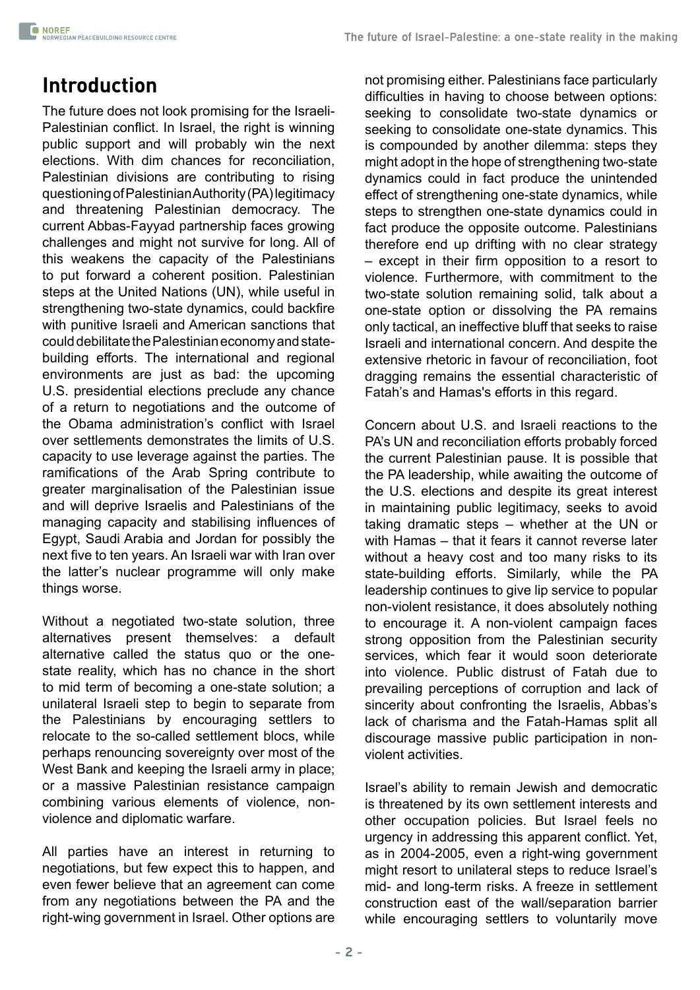## **Introduction**

The future does not look promising for the Israeli-Palestinian conflict. In Israel, the right is winning public support and will probably win the next elections. With dim chances for reconciliation, Palestinian divisions are contributing to rising questioning of Palestinian Authority (PA) legitimacy and threatening Palestinian democracy. The current Abbas-Fayyad partnership faces growing challenges and might not survive for long. All of this weakens the capacity of the Palestinians to put forward a coherent position. Palestinian steps at the United Nations (UN), while useful in strengthening two-state dynamics, could backfire with punitive Israeli and American sanctions that could debilitate the Palestinian economy and statebuilding efforts. The international and regional environments are just as bad: the upcoming U.S. presidential elections preclude any chance of a return to negotiations and the outcome of the Obama administration's conflict with Israel over settlements demonstrates the limits of U.S. capacity to use leverage against the parties. The ramifications of the Arab Spring contribute to greater marginalisation of the Palestinian issue and will deprive Israelis and Palestinians of the managing capacity and stabilising influences of Egypt, Saudi Arabia and Jordan for possibly the next five to ten years. An Israeli war with Iran over the latter's nuclear programme will only make things worse.

Without a negotiated two-state solution, three alternatives present themselves: a default alternative called the status quo or the onestate reality, which has no chance in the short to mid term of becoming a one-state solution; a unilateral Israeli step to begin to separate from the Palestinians by encouraging settlers to relocate to the so-called settlement blocs, while perhaps renouncing sovereignty over most of the West Bank and keeping the Israeli army in place; or a massive Palestinian resistance campaign combining various elements of violence, nonviolence and diplomatic warfare.

All parties have an interest in returning to negotiations, but few expect this to happen, and even fewer believe that an agreement can come from any negotiations between the PA and the right-wing government in Israel. Other options are

not promising either. Palestinians face particularly difficulties in having to choose between options: seeking to consolidate two-state dynamics or seeking to consolidate one-state dynamics. This is compounded by another dilemma: steps they might adopt in the hope of strengthening two-state dynamics could in fact produce the unintended effect of strengthening one-state dynamics, while steps to strengthen one-state dynamics could in fact produce the opposite outcome. Palestinians therefore end up drifting with no clear strategy – except in their firm opposition to a resort to violence. Furthermore, with commitment to the two-state solution remaining solid, talk about a one-state option or dissolving the PA remains only tactical, an ineffective bluff that seeks to raise Israeli and international concern. And despite the extensive rhetoric in favour of reconciliation, foot dragging remains the essential characteristic of Fatah's and Hamas's efforts in this regard.

Concern about U.S. and Israeli reactions to the PA's UN and reconciliation efforts probably forced the current Palestinian pause. It is possible that the PA leadership, while awaiting the outcome of the U.S. elections and despite its great interest in maintaining public legitimacy, seeks to avoid taking dramatic steps – whether at the UN or with Hamas – that it fears it cannot reverse later without a heavy cost and too many risks to its state-building efforts. Similarly, while the PA leadership continues to give lip service to popular non-violent resistance, it does absolutely nothing to encourage it. A non-violent campaign faces strong opposition from the Palestinian security services, which fear it would soon deteriorate into violence. Public distrust of Fatah due to prevailing perceptions of corruption and lack of sincerity about confronting the Israelis, Abbas's lack of charisma and the Fatah-Hamas split all discourage massive public participation in nonviolent activities.

Israel's ability to remain Jewish and democratic is threatened by its own settlement interests and other occupation policies. But Israel feels no urgency in addressing this apparent conflict. Yet, as in 2004-2005, even a right-wing government might resort to unilateral steps to reduce Israel's mid- and long-term risks. A freeze in settlement construction east of the wall/separation barrier while encouraging settlers to voluntarily move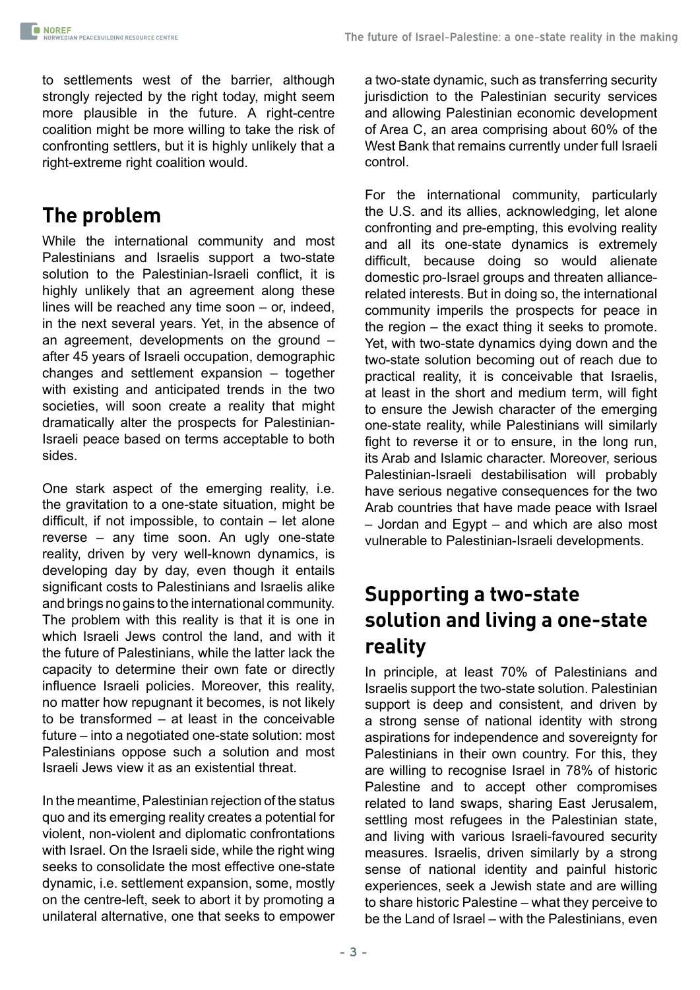to settlements west of the barrier, although strongly rejected by the right today, might seem more plausible in the future. A right-centre coalition might be more willing to take the risk of confronting settlers, but it is highly unlikely that a right-extreme right coalition would.

#### **The problem**

While the international community and most Palestinians and Israelis support a two-state solution to the Palestinian-Israeli conflict, it is highly unlikely that an agreement along these lines will be reached any time soon – or, indeed, in the next several years. Yet, in the absence of an agreement, developments on the ground – after 45 years of Israeli occupation, demographic changes and settlement expansion – together with existing and anticipated trends in the two societies, will soon create a reality that might dramatically alter the prospects for Palestinian-Israeli peace based on terms acceptable to both sides.

One stark aspect of the emerging reality, i.e. the gravitation to a one-state situation, might be difficult, if not impossible, to contain – let alone reverse – any time soon. An ugly one-state reality, driven by very well-known dynamics, is developing day by day, even though it entails significant costs to Palestinians and Israelis alike and brings no gains to the international community. The problem with this reality is that it is one in which Israeli Jews control the land, and with it the future of Palestinians, while the latter lack the capacity to determine their own fate or directly influence Israeli policies. Moreover, this reality, no matter how repugnant it becomes, is not likely to be transformed – at least in the conceivable future – into a negotiated one-state solution: most Palestinians oppose such a solution and most Israeli Jews view it as an existential threat.

In the meantime, Palestinian rejection of the status quo and its emerging reality creates a potential for violent, non-violent and diplomatic confrontations with Israel. On the Israeli side, while the right wing seeks to consolidate the most effective one-state dynamic, i.e. settlement expansion, some, mostly on the centre-left, seek to abort it by promoting a unilateral alternative, one that seeks to empower

a two-state dynamic, such as transferring security jurisdiction to the Palestinian security services and allowing Palestinian economic development of Area C, an area comprising about 60% of the West Bank that remains currently under full Israeli control.

For the international community, particularly the U.S. and its allies, acknowledging, let alone confronting and pre-empting, this evolving reality and all its one-state dynamics is extremely difficult, because doing so would alienate domestic pro-Israel groups and threaten alliancerelated interests. But in doing so, the international community imperils the prospects for peace in the region – the exact thing it seeks to promote. Yet, with two-state dynamics dying down and the two-state solution becoming out of reach due to practical reality, it is conceivable that Israelis, at least in the short and medium term, will fight to ensure the Jewish character of the emerging one-state reality, while Palestinians will similarly fight to reverse it or to ensure, in the long run, its Arab and Islamic character. Moreover, serious Palestinian-Israeli destabilisation will probably have serious negative consequences for the two Arab countries that have made peace with Israel – Jordan and Egypt – and which are also most vulnerable to Palestinian-Israeli developments.

#### **Supporting a two-state solution and living a one-state reality**

In principle, at least 70% of Palestinians and Israelis support the two-state solution. Palestinian support is deep and consistent, and driven by a strong sense of national identity with strong aspirations for independence and sovereignty for Palestinians in their own country. For this, they are willing to recognise Israel in 78% of historic Palestine and to accept other compromises related to land swaps, sharing East Jerusalem, settling most refugees in the Palestinian state. and living with various Israeli-favoured security measures. Israelis, driven similarly by a strong sense of national identity and painful historic experiences, seek a Jewish state and are willing to share historic Palestine – what they perceive to be the Land of Israel – with the Palestinians, even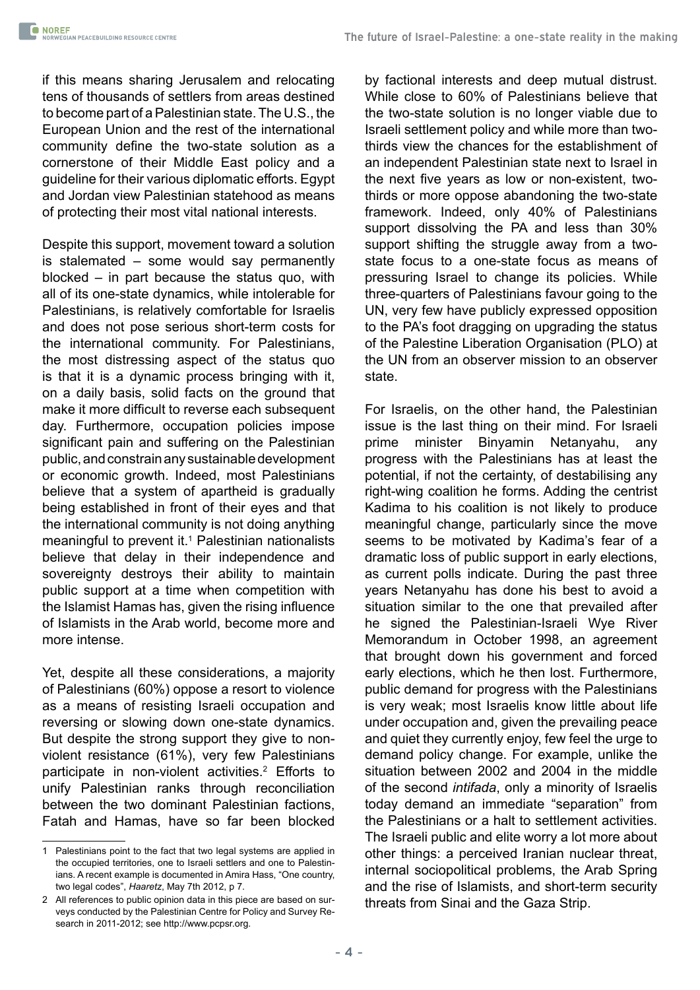if this means sharing Jerusalem and relocating tens of thousands of settlers from areas destined to become part of a Palestinian state. The U.S., the European Union and the rest of the international community define the two-state solution as a cornerstone of their Middle East policy and a guideline for their various diplomatic efforts. Egypt and Jordan view Palestinian statehood as means of protecting their most vital national interests.

Despite this support, movement toward a solution is stalemated – some would say permanently blocked – in part because the status quo, with all of its one-state dynamics, while intolerable for Palestinians, is relatively comfortable for Israelis and does not pose serious short-term costs for the international community. For Palestinians, the most distressing aspect of the status quo is that it is a dynamic process bringing with it, on a daily basis, solid facts on the ground that make it more difficult to reverse each subsequent day. Furthermore, occupation policies impose significant pain and suffering on the Palestinian public, and constrain any sustainable development or economic growth. Indeed, most Palestinians believe that a system of apartheid is gradually being established in front of their eyes and that the international community is not doing anything meaningful to prevent it.<sup>1</sup> Palestinian nationalists believe that delay in their independence and sovereignty destroys their ability to maintain public support at a time when competition with the Islamist Hamas has, given the rising influence of Islamists in the Arab world, become more and more intense.

Yet, despite all these considerations, a majority of Palestinians (60%) oppose a resort to violence as a means of resisting Israeli occupation and reversing or slowing down one-state dynamics. But despite the strong support they give to nonviolent resistance (61%), very few Palestinians participate in non-violent activities.<sup>2</sup> Efforts to unify Palestinian ranks through reconciliation between the two dominant Palestinian factions, Fatah and Hamas, have so far been blocked

by factional interests and deep mutual distrust. While close to 60% of Palestinians believe that the two-state solution is no longer viable due to Israeli settlement policy and while more than twothirds view the chances for the establishment of an independent Palestinian state next to Israel in the next five years as low or non-existent, twothirds or more oppose abandoning the two-state framework. Indeed, only 40% of Palestinians support dissolving the PA and less than 30% support shifting the struggle away from a twostate focus to a one-state focus as means of pressuring Israel to change its policies. While three-quarters of Palestinians favour going to the UN, very few have publicly expressed opposition to the PA's foot dragging on upgrading the status of the Palestine Liberation Organisation (PLO) at the UN from an observer mission to an observer state.

For Israelis, on the other hand, the Palestinian issue is the last thing on their mind. For Israeli prime minister Binyamin Netanyahu, any progress with the Palestinians has at least the potential, if not the certainty, of destabilising any right-wing coalition he forms. Adding the centrist Kadima to his coalition is not likely to produce meaningful change, particularly since the move seems to be motivated by Kadima's fear of a dramatic loss of public support in early elections, as current polls indicate. During the past three years Netanyahu has done his best to avoid a situation similar to the one that prevailed after he signed the Palestinian-Israeli Wye River Memorandum in October 1998, an agreement that brought down his government and forced early elections, which he then lost. Furthermore, public demand for progress with the Palestinians is very weak; most Israelis know little about life under occupation and, given the prevailing peace and quiet they currently enjoy, few feel the urge to demand policy change. For example, unlike the situation between 2002 and 2004 in the middle of the second *intifada*, only a minority of Israelis today demand an immediate "separation" from the Palestinians or a halt to settlement activities. The Israeli public and elite worry a lot more about other things: a perceived Iranian nuclear threat, internal sociopolitical problems, the Arab Spring and the rise of Islamists, and short-term security threats from Sinai and the Gaza Strip.

<sup>1</sup> Palestinians point to the fact that two legal systems are applied in the occupied territories, one to Israeli settlers and one to Palestinians. A recent example is documented in Amira Hass, "One country, two legal codes", *Haaretz*, May 7th 2012, p 7.

<sup>2</sup> All references to public opinion data in this piece are based on surveys conducted by the Palestinian Centre for Policy and Survey Research in 2011-2012; see http://www.pcpsr.org.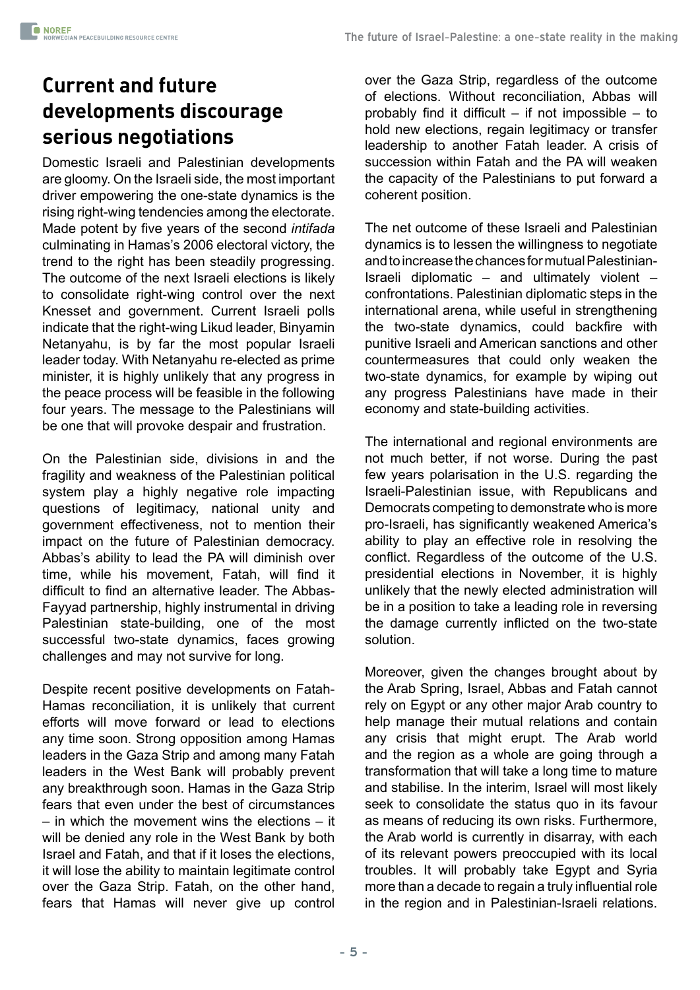### **Current and future developments discourage serious negotiations**

Domestic Israeli and Palestinian developments are gloomy. On the Israeli side, the most important driver empowering the one-state dynamics is the rising right-wing tendencies among the electorate. Made potent by five years of the second *intifada* culminating in Hamas's 2006 electoral victory, the trend to the right has been steadily progressing. The outcome of the next Israeli elections is likely to consolidate right-wing control over the next Knesset and government. Current Israeli polls indicate that the right-wing Likud leader, Binyamin Netanyahu, is by far the most popular Israeli leader today. With Netanyahu re-elected as prime minister, it is highly unlikely that any progress in the peace process will be feasible in the following four years. The message to the Palestinians will be one that will provoke despair and frustration.

On the Palestinian side, divisions in and the fragility and weakness of the Palestinian political system play a highly negative role impacting questions of legitimacy, national unity and government effectiveness, not to mention their impact on the future of Palestinian democracy. Abbas's ability to lead the PA will diminish over time, while his movement, Fatah, will find it difficult to find an alternative leader. The Abbas-Fayyad partnership, highly instrumental in driving Palestinian state-building, one of the most successful two-state dynamics, faces growing challenges and may not survive for long.

Despite recent positive developments on Fatah-Hamas reconciliation, it is unlikely that current efforts will move forward or lead to elections any time soon. Strong opposition among Hamas leaders in the Gaza Strip and among many Fatah leaders in the West Bank will probably prevent any breakthrough soon. Hamas in the Gaza Strip fears that even under the best of circumstances – in which the movement wins the elections – it will be denied any role in the West Bank by both Israel and Fatah, and that if it loses the elections, it will lose the ability to maintain legitimate control over the Gaza Strip. Fatah, on the other hand, fears that Hamas will never give up control

over the Gaza Strip, regardless of the outcome of elections. Without reconciliation, Abbas will probably find it difficult  $-$  if not impossible  $-$  to hold new elections, regain legitimacy or transfer leadership to another Fatah leader. A crisis of succession within Fatah and the PA will weaken the capacity of the Palestinians to put forward a coherent position.

The net outcome of these Israeli and Palestinian dynamics is to lessen the willingness to negotiate and to increase the chances for mutual Palestinian-Israeli diplomatic – and ultimately violent – confrontations. Palestinian diplomatic steps in the international arena, while useful in strengthening the two-state dynamics, could backfire with punitive Israeli and American sanctions and other countermeasures that could only weaken the two-state dynamics, for example by wiping out any progress Palestinians have made in their economy and state-building activities.

The international and regional environments are not much better, if not worse. During the past few years polarisation in the U.S. regarding the Israeli-Palestinian issue, with Republicans and Democrats competing to demonstrate who is more pro-Israeli, has significantly weakened America's ability to play an effective role in resolving the conflict. Regardless of the outcome of the U.S. presidential elections in November, it is highly unlikely that the newly elected administration will be in a position to take a leading role in reversing the damage currently inflicted on the two-state solution.

Moreover, given the changes brought about by the Arab Spring, Israel, Abbas and Fatah cannot rely on Egypt or any other major Arab country to help manage their mutual relations and contain any crisis that might erupt. The Arab world and the region as a whole are going through a transformation that will take a long time to mature and stabilise. In the interim, Israel will most likely seek to consolidate the status quo in its favour as means of reducing its own risks. Furthermore, the Arab world is currently in disarray, with each of its relevant powers preoccupied with its local troubles. It will probably take Egypt and Syria more than a decade to regain a truly influential role in the region and in Palestinian-Israeli relations.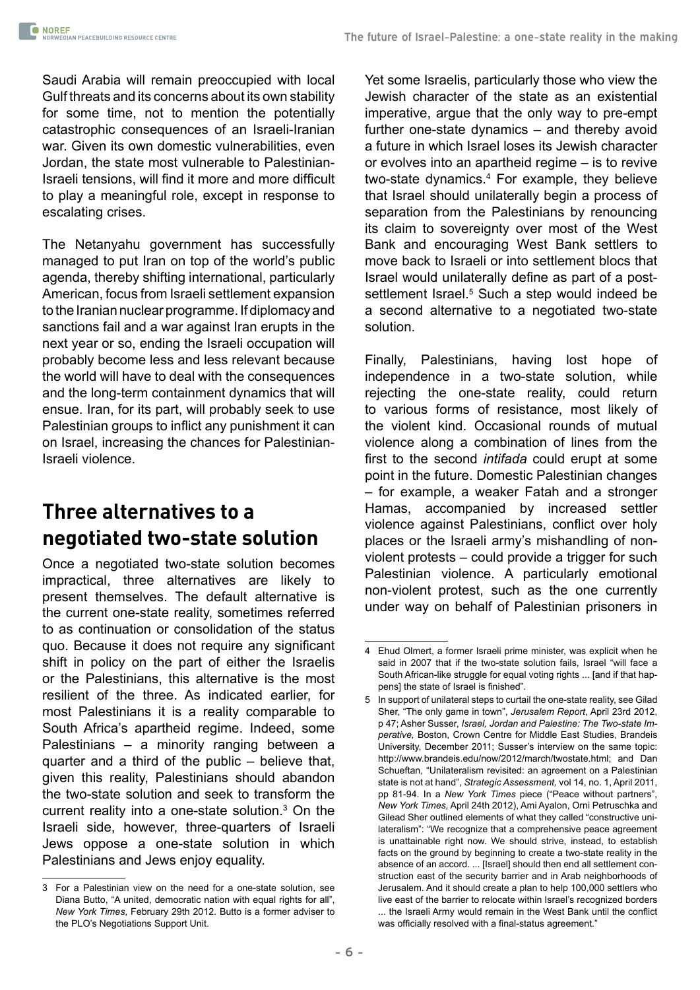Saudi Arabia will remain preoccupied with local Gulf threats and its concerns about its own stability for some time, not to mention the potentially catastrophic consequences of an Israeli-Iranian war. Given its own domestic vulnerabilities, even Jordan, the state most vulnerable to Palestinian-Israeli tensions, will find it more and more difficult to play a meaningful role, except in response to escalating crises.

The Netanyahu government has successfully managed to put Iran on top of the world's public agenda, thereby shifting international, particularly American, focus from Israeli settlement expansion to the Iranian nuclear programme. If diplomacy and sanctions fail and a war against Iran erupts in the next year or so, ending the Israeli occupation will probably become less and less relevant because the world will have to deal with the consequences and the long-term containment dynamics that will ensue. Iran, for its part, will probably seek to use Palestinian groups to inflict any punishment it can on Israel, increasing the chances for Palestinian-Israeli violence.

#### **Three alternatives to a negotiated two-state solution**

Once a negotiated two-state solution becomes impractical, three alternatives are likely to present themselves. The default alternative is the current one-state reality, sometimes referred to as continuation or consolidation of the status quo. Because it does not require any significant shift in policy on the part of either the Israelis or the Palestinians, this alternative is the most resilient of the three. As indicated earlier, for most Palestinians it is a reality comparable to South Africa's apartheid regime. Indeed, some Palestinians – a minority ranging between a quarter and a third of the public – believe that, given this reality, Palestinians should abandon the two-state solution and seek to transform the current reality into a one-state solution.<sup>3</sup> On the Israeli side, however, three-quarters of Israeli Jews oppose a one-state solution in which Palestinians and Jews enjoy equality.

Yet some Israelis, particularly those who view the Jewish character of the state as an existential imperative, argue that the only way to pre-empt further one-state dynamics – and thereby avoid a future in which Israel loses its Jewish character or evolves into an apartheid regime – is to revive two-state dynamics.<sup>4</sup> For example, they believe that Israel should unilaterally begin a process of separation from the Palestinians by renouncing its claim to sovereignty over most of the West Bank and encouraging West Bank settlers to move back to Israeli or into settlement blocs that Israel would unilaterally define as part of a postsettlement Israel.<sup>5</sup> Such a step would indeed be a second alternative to a negotiated two-state solution.

Finally, Palestinians, having lost hope of independence in a two-state solution, while rejecting the one-state reality, could return to various forms of resistance, most likely of the violent kind. Occasional rounds of mutual violence along a combination of lines from the first to the second *intifada* could erupt at some point in the future. Domestic Palestinian changes – for example, a weaker Fatah and a stronger Hamas, accompanied by increased settler violence against Palestinians, conflict over holy places or the Israeli army's mishandling of nonviolent protests – could provide a trigger for such Palestinian violence. A particularly emotional non-violent protest, such as the one currently under way on behalf of Palestinian prisoners in

<sup>3</sup> For a Palestinian view on the need for a one-state solution, see Diana Butto, "A united, democratic nation with equal rights for all", *New York Times*, February 29th 2012. Butto is a former adviser to the PLO's Negotiations Support Unit.

<sup>4</sup> Ehud Olmert, a former Israeli prime minister, was explicit when he said in 2007 that if the two-state solution fails, Israel "will face a South African-like struggle for equal voting rights ... [and if that happens] the state of Israel is finished".

<sup>5</sup> In support of unilateral steps to curtail the one-state reality, see Gilad Sher, "The only game in town", *Jerusalem Report*, April 23rd 2012, p 47; Asher Susser, *Israel, Jordan and Palestine: The Two-state Imperative,* Boston, Crown Centre for Middle East Studies, Brandeis University, December 2011; Susser's interview on the same topic: http://www.brandeis.edu/now/2012/march/twostate.html; and Dan Schueftan, "Unilateralism revisited: an agreement on a Palestinian state is not at hand", *Strategic Assessment,* vol 14, no. 1, April 2011, pp 81-94. In a *New York Times* piece ("Peace without partners", *New York Times,* April 24th 2012), Ami Ayalon, Orni Petruschka and Gilead Sher outlined elements of what they called "constructive unilateralism": "We recognize that a comprehensive peace agreement is unattainable right now. We should strive, instead, to establish facts on the ground by beginning to create a two-state reality in the absence of an accord. ... [Israel] should then end all settlement construction east of the security barrier and in Arab neighborhoods of Jerusalem. And it should create a plan to help 100,000 settlers who live east of the barrier to relocate within Israel's recognized borders ... the Israeli Army would remain in the West Bank until the conflict was officially resolved with a final-status agreement."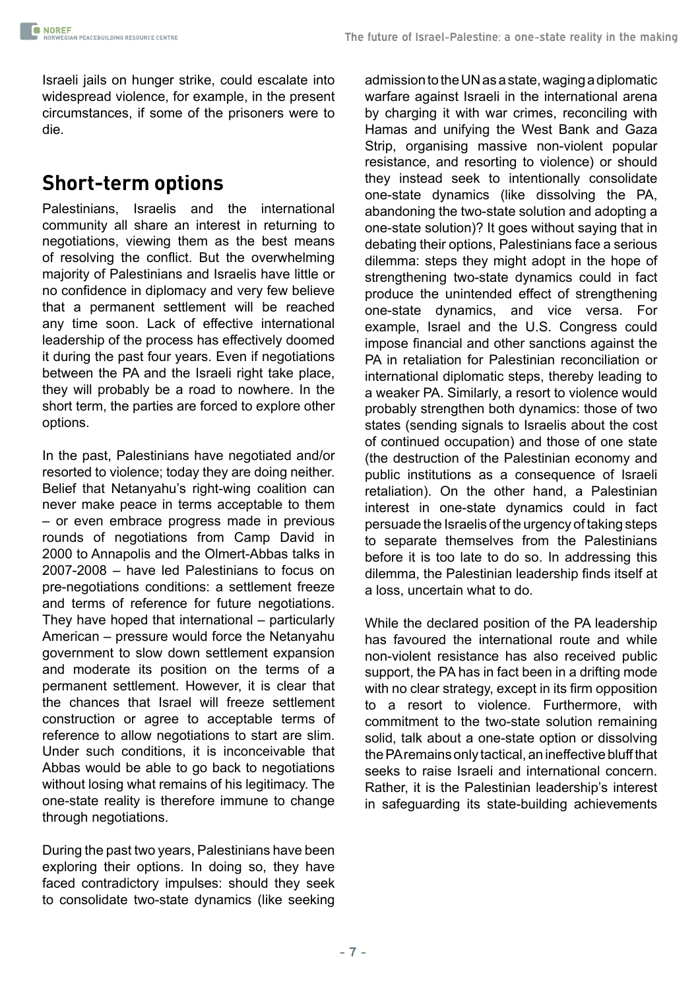Israeli jails on hunger strike, could escalate into widespread violence, for example, in the present circumstances, if some of the prisoners were to die.

#### **Short-term options**

Palestinians, Israelis and the international community all share an interest in returning to negotiations, viewing them as the best means of resolving the conflict. But the overwhelming majority of Palestinians and Israelis have little or no confidence in diplomacy and very few believe that a permanent settlement will be reached any time soon. Lack of effective international leadership of the process has effectively doomed it during the past four years. Even if negotiations between the PA and the Israeli right take place, they will probably be a road to nowhere. In the short term, the parties are forced to explore other options.

In the past, Palestinians have negotiated and/or resorted to violence; today they are doing neither. Belief that Netanyahu's right-wing coalition can never make peace in terms acceptable to them – or even embrace progress made in previous rounds of negotiations from Camp David in 2000 to Annapolis and the Olmert-Abbas talks in 2007-2008 – have led Palestinians to focus on pre-negotiations conditions: a settlement freeze and terms of reference for future negotiations. They have hoped that international – particularly American – pressure would force the Netanyahu government to slow down settlement expansion and moderate its position on the terms of a permanent settlement. However, it is clear that the chances that Israel will freeze settlement construction or agree to acceptable terms of reference to allow negotiations to start are slim. Under such conditions, it is inconceivable that Abbas would be able to go back to negotiations without losing what remains of his legitimacy. The one-state reality is therefore immune to change through negotiations.

During the past two years, Palestinians have been exploring their options. In doing so, they have faced contradictory impulses: should they seek to consolidate two-state dynamics (like seeking

admission to the UN as a state, waging a diplomatic warfare against Israeli in the international arena by charging it with war crimes, reconciling with Hamas and unifying the West Bank and Gaza Strip, organising massive non-violent popular resistance, and resorting to violence) or should they instead seek to intentionally consolidate one-state dynamics (like dissolving the PA, abandoning the two-state solution and adopting a one-state solution)? It goes without saying that in debating their options, Palestinians face a serious dilemma: steps they might adopt in the hope of strengthening two-state dynamics could in fact produce the unintended effect of strengthening one-state dynamics, and vice versa. For example, Israel and the U.S. Congress could impose financial and other sanctions against the PA in retaliation for Palestinian reconciliation or international diplomatic steps, thereby leading to a weaker PA. Similarly, a resort to violence would probably strengthen both dynamics: those of two states (sending signals to Israelis about the cost of continued occupation) and those of one state (the destruction of the Palestinian economy and public institutions as a consequence of Israeli retaliation). On the other hand, a Palestinian interest in one-state dynamics could in fact persuade the Israelis of the urgency of taking steps to separate themselves from the Palestinians before it is too late to do so. In addressing this dilemma, the Palestinian leadership finds itself at a loss, uncertain what to do.

While the declared position of the PA leadership has favoured the international route and while non-violent resistance has also received public support, the PA has in fact been in a drifting mode with no clear strategy, except in its firm opposition to a resort to violence. Furthermore, with commitment to the two-state solution remaining solid, talk about a one-state option or dissolving the PA remains only tactical, an ineffective bluff that seeks to raise Israeli and international concern. Rather, it is the Palestinian leadership's interest in safeguarding its state-building achievements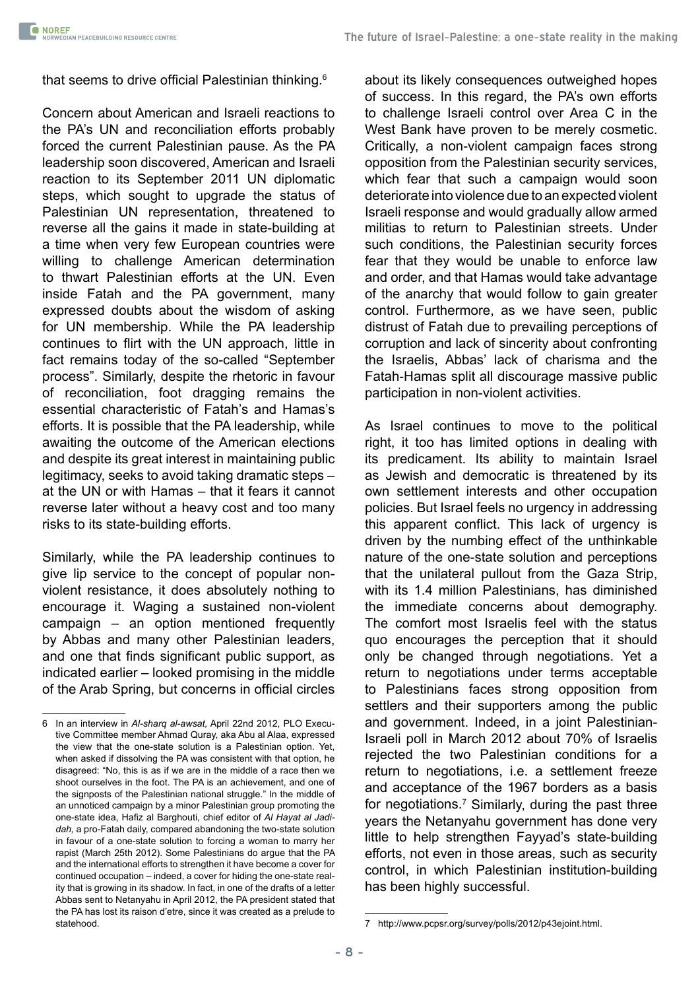that seems to drive official Palestinian thinking.<sup>6</sup>

Concern about American and Israeli reactions to the PA's UN and reconciliation efforts probably forced the current Palestinian pause. As the PA leadership soon discovered, American and Israeli reaction to its September 2011 UN diplomatic steps, which sought to upgrade the status of Palestinian UN representation, threatened to reverse all the gains it made in state-building at a time when very few European countries were willing to challenge American determination to thwart Palestinian efforts at the UN. Even inside Fatah and the PA government, many expressed doubts about the wisdom of asking for UN membership. While the PA leadership continues to flirt with the UN approach, little in fact remains today of the so-called "September process". Similarly, despite the rhetoric in favour of reconciliation, foot dragging remains the essential characteristic of Fatah's and Hamas's efforts. It is possible that the PA leadership, while awaiting the outcome of the American elections and despite its great interest in maintaining public legitimacy, seeks to avoid taking dramatic steps – at the UN or with Hamas – that it fears it cannot reverse later without a heavy cost and too many risks to its state-building efforts.

Similarly, while the PA leadership continues to give lip service to the concept of popular nonviolent resistance, it does absolutely nothing to encourage it. Waging a sustained non-violent campaign – an option mentioned frequently by Abbas and many other Palestinian leaders, and one that finds significant public support, as indicated earlier – looked promising in the middle of the Arab Spring, but concerns in official circles

about its likely consequences outweighed hopes of success. In this regard, the PA's own efforts to challenge Israeli control over Area C in the West Bank have proven to be merely cosmetic. Critically, a non-violent campaign faces strong opposition from the Palestinian security services, which fear that such a campaign would soon deteriorate into violence due to an expected violent Israeli response and would gradually allow armed militias to return to Palestinian streets. Under such conditions, the Palestinian security forces fear that they would be unable to enforce law and order, and that Hamas would take advantage of the anarchy that would follow to gain greater control. Furthermore, as we have seen, public distrust of Fatah due to prevailing perceptions of corruption and lack of sincerity about confronting the Israelis, Abbas' lack of charisma and the Fatah-Hamas split all discourage massive public participation in non-violent activities.

As Israel continues to move to the political right, it too has limited options in dealing with its predicament. Its ability to maintain Israel as Jewish and democratic is threatened by its own settlement interests and other occupation policies. But Israel feels no urgency in addressing this apparent conflict. This lack of urgency is driven by the numbing effect of the unthinkable nature of the one-state solution and perceptions that the unilateral pullout from the Gaza Strip, with its 1.4 million Palestinians, has diminished the immediate concerns about demography. The comfort most Israelis feel with the status quo encourages the perception that it should only be changed through negotiations. Yet a return to negotiations under terms acceptable to Palestinians faces strong opposition from settlers and their supporters among the public and government. Indeed, in a joint Palestinian-Israeli poll in March 2012 about 70% of Israelis rejected the two Palestinian conditions for a return to negotiations, i.e. a settlement freeze and acceptance of the 1967 borders as a basis for negotiations.<sup>7</sup> Similarly, during the past three years the Netanyahu government has done very little to help strengthen Fayyad's state-building efforts, not even in those areas, such as security control, in which Palestinian institution-building has been highly successful.

<sup>6</sup> In an interview in *Al-sharq al-awsat,* April 22nd 2012, PLO Executive Committee member Ahmad Quray, aka Abu al Alaa, expressed the view that the one-state solution is a Palestinian option. Yet, when asked if dissolving the PA was consistent with that option, he disagreed: "No, this is as if we are in the middle of a race then we shoot ourselves in the foot. The PA is an achievement, and one of the signposts of the Palestinian national struggle." In the middle of an unnoticed campaign by a minor Palestinian group promoting the one-state idea, Hafiz al Barghouti, chief editor of *Al Hayat al Jadidah,* a pro-Fatah daily, compared abandoning the two-state solution in favour of a one-state solution to forcing a woman to marry her rapist (March 25th 2012). Some Palestinians do argue that the PA and the international efforts to strengthen it have become a cover for continued occupation – indeed, a cover for hiding the one-state reality that is growing in its shadow. In fact, in one of the drafts of a letter Abbas sent to Netanyahu in April 2012, the PA president stated that the PA has lost its raison d'etre, since it was created as a prelude to statehood.

<sup>7</sup> http://www.pcpsr.org/survey/polls/2012/p43ejoint.html.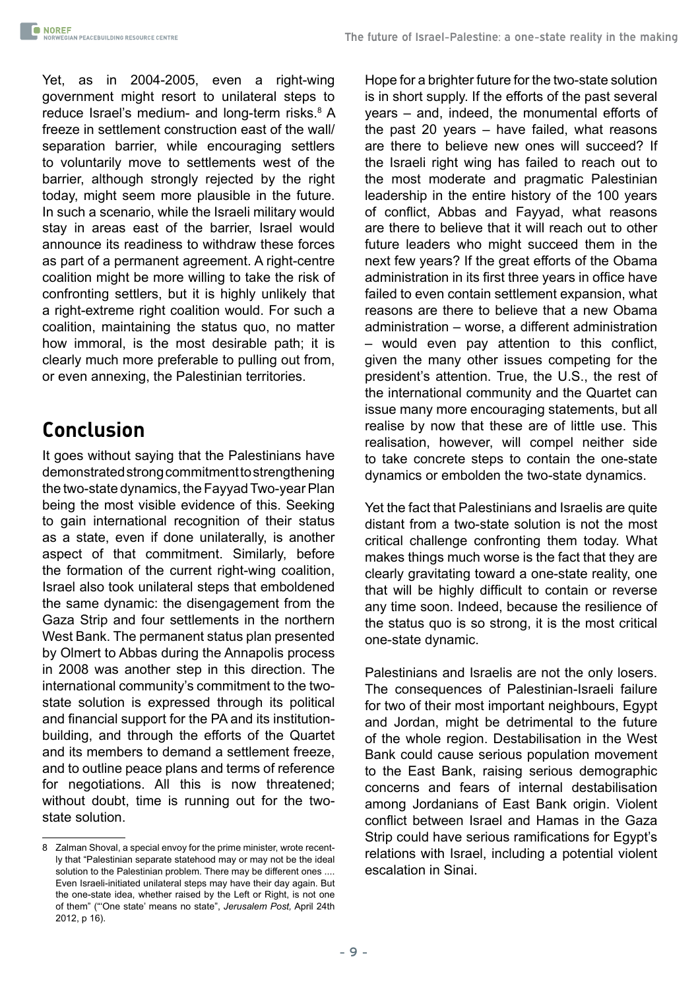Yet, as in 2004-2005, even a right-wing government might resort to unilateral steps to reduce Israel's medium- and long-term risks.<sup>8</sup> A freeze in settlement construction east of the wall/ separation barrier, while encouraging settlers to voluntarily move to settlements west of the barrier, although strongly rejected by the right today, might seem more plausible in the future. In such a scenario, while the Israeli military would stay in areas east of the barrier, Israel would announce its readiness to withdraw these forces as part of a permanent agreement. A right-centre coalition might be more willing to take the risk of confronting settlers, but it is highly unlikely that a right-extreme right coalition would. For such a coalition, maintaining the status quo, no matter how immoral, is the most desirable path; it is clearly much more preferable to pulling out from, or even annexing, the Palestinian territories.

## **Conclusion**

It goes without saying that the Palestinians have demonstrated strong commitment to strengthening the two-state dynamics, the Fayyad Two-year Plan being the most visible evidence of this. Seeking to gain international recognition of their status as a state, even if done unilaterally, is another aspect of that commitment. Similarly, before the formation of the current right-wing coalition, Israel also took unilateral steps that emboldened the same dynamic: the disengagement from the Gaza Strip and four settlements in the northern West Bank. The permanent status plan presented by Olmert to Abbas during the Annapolis process in 2008 was another step in this direction. The international community's commitment to the twostate solution is expressed through its political and financial support for the PA and its institutionbuilding, and through the efforts of the Quartet and its members to demand a settlement freeze, and to outline peace plans and terms of reference for negotiations. All this is now threatened; without doubt, time is running out for the twostate solution.

Hope for a brighter future for the two-state solution is in short supply. If the efforts of the past several years – and, indeed, the monumental efforts of the past 20 years – have failed, what reasons are there to believe new ones will succeed? If the Israeli right wing has failed to reach out to the most moderate and pragmatic Palestinian leadership in the entire history of the 100 years of conflict, Abbas and Fayyad, what reasons are there to believe that it will reach out to other future leaders who might succeed them in the next few years? If the great efforts of the Obama administration in its first three years in office have failed to even contain settlement expansion, what reasons are there to believe that a new Obama administration – worse, a different administration – would even pay attention to this conflict, given the many other issues competing for the president's attention. True, the U.S., the rest of the international community and the Quartet can issue many more encouraging statements, but all realise by now that these are of little use. This realisation, however, will compel neither side to take concrete steps to contain the one-state dynamics or embolden the two-state dynamics.

Yet the fact that Palestinians and Israelis are quite distant from a two-state solution is not the most critical challenge confronting them today. What makes things much worse is the fact that they are clearly gravitating toward a one-state reality, one that will be highly difficult to contain or reverse any time soon. Indeed, because the resilience of the status quo is so strong, it is the most critical one-state dynamic.

Palestinians and Israelis are not the only losers. The consequences of Palestinian-Israeli failure for two of their most important neighbours, Egypt and Jordan, might be detrimental to the future of the whole region. Destabilisation in the West Bank could cause serious population movement to the East Bank, raising serious demographic concerns and fears of internal destabilisation among Jordanians of East Bank origin. Violent conflict between Israel and Hamas in the Gaza Strip could have serious ramifications for Egypt's relations with Israel, including a potential violent escalation in Sinai.

<sup>8</sup> Zalman Shoval, a special envoy for the prime minister, wrote recently that "Palestinian separate statehood may or may not be the ideal solution to the Palestinian problem. There may be different ones .... Even Israeli-initiated unilateral steps may have their day again. But the one-state idea, whether raised by the Left or Right, is not one of them" ("'One state' means no state", *Jerusalem Post,* April 24th 2012, p 16).